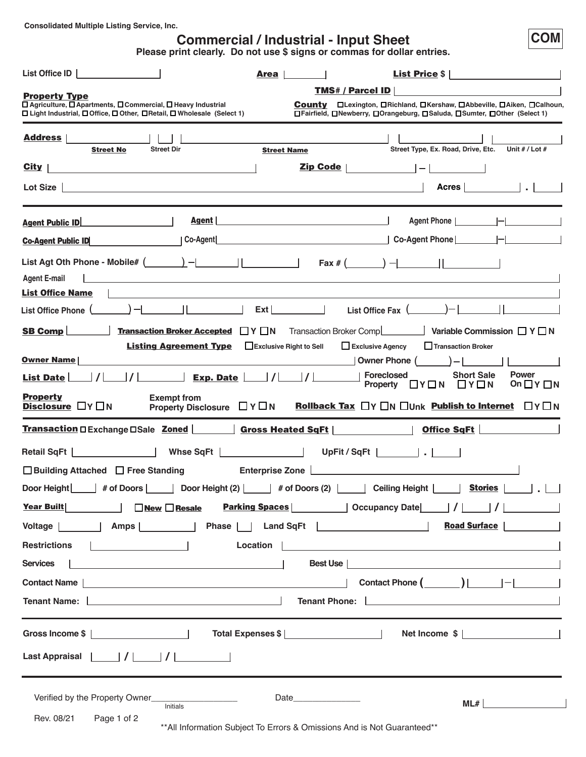**Consolidated Multiple Listing Service, Inc.**

# **Commercial / Industrial - Input Sheet**

**Please print clearly. Do not use \$ signs or commas for dollar entries.**

| List Office ID<br>Area                                                                                                                                                  | <b>List Price <math>\frac{1}{2}</math></b>                                                                                                               |
|-------------------------------------------------------------------------------------------------------------------------------------------------------------------------|----------------------------------------------------------------------------------------------------------------------------------------------------------|
| <b>Property Type</b>                                                                                                                                                    | <b>TMS# / Parcel ID</b>                                                                                                                                  |
| □ Agriculture, □ Apartments, □ Commercial, □ Heavy Industrial<br>□ Light Industrial, □ Office, □ Other, □ Retail, □ Wholesale (Select 1)                                | <b>County D</b> Lexington, DRichland, DKershaw, DAbbeville, DAiken, DCalhoun,<br>□Fairfield, □Newberry, □Orangeburg, □Saluda, □Sumter, □Other (Select 1) |
| <b>Address</b><br><b>Street Dir</b><br><b>Street No</b>                                                                                                                 | Street Type, Ex. Road, Drive, Etc.<br>Unit $# /$ Lot $#$<br><b>Street Name</b>                                                                           |
| City<br><u> 1980 - Andrea Andrew Maria (h. 1980).</u>                                                                                                                   | Zip Code  <br>$ - $ and $ $                                                                                                                              |
| Lot Size                                                                                                                                                                | Acres   <b>Acres</b>                                                                                                                                     |
| Agent  <br><b>Agent Public ID</b>                                                                                                                                       | Agent Phone                                                                                                                                              |
| Co-Agent<br><b>Co-Agent Public ID</b>                                                                                                                                   | Co-Agent Phone                                                                                                                                           |
| <b>Agent E-mail</b><br><b>List Office Name</b>                                                                                                                          |                                                                                                                                                          |
| $\rightarrow$<br>List Office Phone (                                                                                                                                    | Ext<br>List Office Fax $($                                                                                                                               |
| <b>Transaction Broker Accepted</b><br>$\Box$ Y $\Box$ N<br><b>SB Comp</b>                                                                                               | Variable Commission $\Box$ Y $\Box$ N<br>Transaction Broker Comp                                                                                         |
| <b>Listing Agreement Type Exclusive Right to Sell</b>                                                                                                                   | Exclusive Agency<br>Transaction Broker                                                                                                                   |
| <b>Owner Name</b>                                                                                                                                                       | Owner Phone                                                                                                                                              |
| Exp. Date<br><b>List Date</b> I                                                                                                                                         | <b>Power</b><br><b>Foreclosed</b><br><b>Short Sale</b><br>$\Box$ Y $\Box$ N<br>$\Box$ Y $\Box$ N<br>On $\Box$ Y $\Box$ N<br><b>Property</b>              |
| <b>Property</b><br><b>Exempt from</b><br><b>Disclosure</b> $\Box Y \Box N$<br>Property Disclosure $\Box Y \Box N$                                                       | <b>Rollback Tax</b> $\Box Y \Box N \Box$ Unk <b>Publish to Internet</b> $\Box Y \Box N$                                                                  |
| Transaction □ Exchange □ Sale Zoned   Gross Heated SqFt                                                                                                                 | Office SqFt                                                                                                                                              |
| $\frac{1}{2}$ and $\frac{1}{2}$<br>Whse SqFt   Night   Night   Night   Night   Night   Night   Night   Night   Night   Night   Night   Night   Ni<br><b>Retail SqFt</b> | UpFit / SqFt                                                                                                                                             |
| $\Box$ Building Attached $\Box$ Free Standing<br>Enterprise Zone [                                                                                                      |                                                                                                                                                          |
| # of Doors  <br>Door Height                                                                                                                                             | Door Height (2)   # of Doors (2)     Ceiling Height    <br>Stories                                                                                       |
| <b>Year Built</b><br><b>New Resale</b>                                                                                                                                  |                                                                                                                                                          |
| Amps    <br>Voltage                                                                                                                                                     | <b>Road Surface</b>                                                                                                                                      |
| <b>Restrictions</b><br>Location                                                                                                                                         |                                                                                                                                                          |
| <b>Services</b>                                                                                                                                                         | Best Use                                                                                                                                                 |
| Contact Name  <br><u> 1989 - Johann Barn, amerikansk politiker (d. 1989)</u>                                                                                            |                                                                                                                                                          |
| Tenant Name:                                                                                                                                                            | <b>Tenant Phone:</b><br><u> 1989 - Johann Stein, mars an deutscher Stein († 1958)</u>                                                                    |
| Gross Income \$ 2000                                                                                                                                                    | Net Income \$                                                                                                                                            |
| Last Appraisal                                                                                                                                                          |                                                                                                                                                          |
| Verified by the Property Owner_<br>Initials                                                                                                                             | Date <b>Date</b><br>ML#                                                                                                                                  |
| Rev. 08/21<br>Page 1 of 2                                                                                                                                               | ** All Information Subject To Errors & Omissions And is Not Guaranteed**                                                                                 |